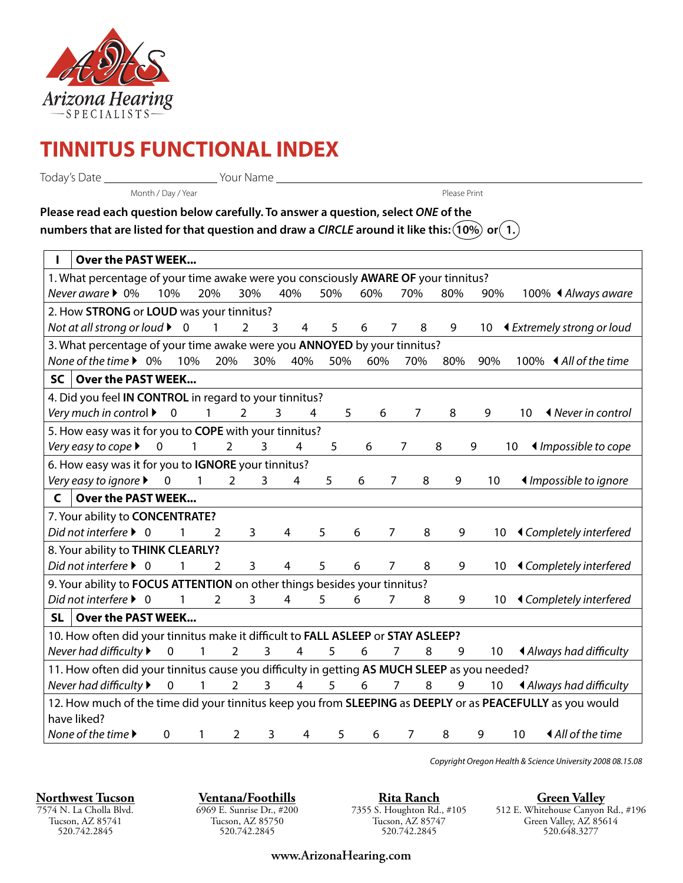

## **TINNITUS FUNCTIONAL INDEX**

Today's Date Your Name

Month / Day / Year Print Please Print

| Please read each question below carefully. To answer a question, select ONE of the                                       |  |
|--------------------------------------------------------------------------------------------------------------------------|--|
| numbers that are listed for that question and draw a CIRCLE around it like this: $(\overline{10\%})$ or $\widehat{(1.)}$ |  |

| <b>Over the PAST WEEK</b>                                                                                                                                             |  |  |  |  |
|-----------------------------------------------------------------------------------------------------------------------------------------------------------------------|--|--|--|--|
| 1. What percentage of your time awake were you consciously AWARE OF your tinnitus?                                                                                    |  |  |  |  |
| Never aware $\triangleright$ 0%<br>10%<br>20%<br>30%<br>40%<br>50%<br>70%<br>60%<br>80%<br>90%<br>100% ◀ Always aware                                                 |  |  |  |  |
| 2. How STRONG or LOUD was your tinnitus?                                                                                                                              |  |  |  |  |
| Not at all strong or loud $\blacktriangleright$ 0<br>9<br>1<br>$\overline{2}$<br>5<br>8<br>└ Extremely strong or loud<br>6<br>7<br>$10-10$<br>3<br>4                  |  |  |  |  |
| 3. What percentage of your time awake were you <b>ANNOYED</b> by your tinnitus?                                                                                       |  |  |  |  |
| None of the time ▶ 0%<br>10%<br>20%<br>30%<br>40%<br>50%<br>60%<br>70%<br>100% ◀ All of the time<br>80%<br>90%                                                        |  |  |  |  |
| Over the PAST WEEK<br><b>SC</b>                                                                                                                                       |  |  |  |  |
| 4. Did you feel IN CONTROL in regard to your tinnitus?                                                                                                                |  |  |  |  |
| Very much in control $\blacktriangleright$<br>$\mathbf 0$<br>$\mathbf{1}$<br><b>♦ Never in control</b><br>$\overline{2}$<br>3<br>5<br>6<br>7<br>8<br>9<br>10<br>4     |  |  |  |  |
| 5. How easy was it for you to COPE with your tinnitus?                                                                                                                |  |  |  |  |
| Very easy to cope ▶<br>$\mathbf 0$<br>$\overline{2}$<br>$\overline{3}$<br>4<br>5<br>8<br>9<br>♦ Impossible to cope<br>1<br>6<br>10<br>7                               |  |  |  |  |
| 6. How easy was it for you to IGNORE your tinnitus?                                                                                                                   |  |  |  |  |
| Very easy to ignore ▶<br>$\overline{2}$<br>$\overline{3}$<br>◀ Impossible to ignore<br>$\mathbf 0$<br>1<br>4<br>5<br>6<br>7<br>8<br>9<br>10                           |  |  |  |  |
| Over the PAST WEEK<br>C                                                                                                                                               |  |  |  |  |
| 7. Your ability to CONCENTRATE?                                                                                                                                       |  |  |  |  |
| Did not interfere $\blacktriangleright$ 0<br>3<br>5<br>8<br>9<br><b>Exampletely interfered</b><br>2<br>4<br>6<br>7<br>10                                              |  |  |  |  |
| 8. Your ability to THINK CLEARLY?                                                                                                                                     |  |  |  |  |
| Did not interfere $\triangleright$ 0<br>3<br>8<br>9<br><b>E</b> Completely interfered<br>1<br>$\overline{2}$<br>4<br>5<br>6<br>7<br>10                                |  |  |  |  |
| 9. Your ability to FOCUS ATTENTION on other things besides your tinnitus?                                                                                             |  |  |  |  |
| Did not interfere $\triangleright$ 0<br>3<br>9<br><b>E</b> Completely interfered<br>$\mathcal{L}$<br>4<br>5<br>6<br>7<br>8<br>1<br>10                                 |  |  |  |  |
| Over the PAST WEEK<br><b>SL</b>                                                                                                                                       |  |  |  |  |
| 10. How often did your tinnitus make it difficult to FALL ASLEEP or STAY ASLEEP?                                                                                      |  |  |  |  |
| Never had difficulty ▶<br>$\mathbf 0$<br>3<br>4<br>5<br>6<br>8<br>◀ Always had difficulty<br>1<br>2<br>7<br>9<br>10                                                   |  |  |  |  |
| 11. How often did your tinnitus cause you difficulty in getting AS MUCH SLEEP as you needed?                                                                          |  |  |  |  |
| Never had difficulty ▶<br>$\overline{2}$<br>3<br>$\overline{4}$<br>5<br>$\overline{7}$<br>8<br>9<br>$\mathbf 0$<br>$\mathbf{1}$<br>6<br>◀ Always had difficulty<br>10 |  |  |  |  |
| 12. How much of the time did your tinnitus keep you from SLEEPING as DEEPLY or as PEACEFULLY as you would                                                             |  |  |  |  |
| have liked?                                                                                                                                                           |  |  |  |  |
| None of the time ▶<br><b>∢All of the time</b><br>$\overline{2}$<br>3<br>8<br>9<br>0<br>4<br>5<br>6<br>7<br>10<br>1                                                    |  |  |  |  |

Copyright Oregon Health & Science University 2008 08.15.08

**Northwest Tucson** 7574 N. La Cholla Blvd. Tucson, AZ 85741 520.742.2845

**Ventana/Foothills** 6969 E. Sunrise Dr., #200 Tucson, AZ 85750 520.742.2845

**Rita Ranch** 7355 S. Houghton Rd., #105 Tucson, AZ 85747 520.742.2845

**Green Valley** 512 E. Whitehouse Canyon Rd., #196 Green Valley, AZ 85614 520.648.3277

**www.ArizonaHearing.com**